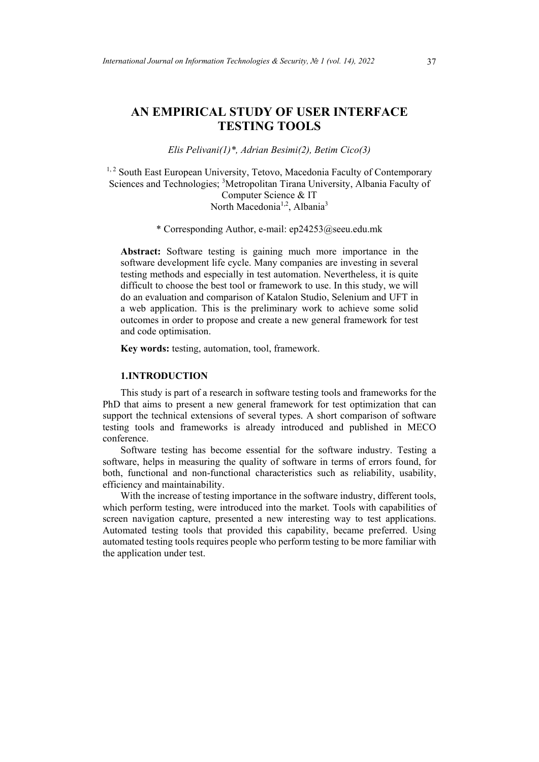# **AN EMPIRICAL STUDY OF USER INTERFACE TESTING TOOLS**

*Elis Pelivani(1)\*, Adrian Besimi(2), Betim Cico(3)*

<sup>1, 2</sup> South East European University, Tetovo, Macedonia Faculty of Contemporary Sciences and Technologies; <sup>3</sup>Metropolitan Tirana University, Albania Faculty of Computer Science & IT North Macedonia<sup>1,2</sup>, Albania<sup>3</sup>

\* Corresponding Author, e-mail: ep24253@seeu.edu.mk

**Abstract:** Software testing is gaining much more importance in the software development life cycle. Many companies are investing in several testing methods and especially in test automation. Nevertheless, it is quite difficult to choose the best tool or framework to use. In this study, we will do an evaluation and comparison of Katalon Studio, Selenium and UFT in a web application. This is the preliminary work to achieve some solid outcomes in order to propose and create a new general framework for test and code optimisation.

**Key words:** testing, automation, tool, framework.

#### **1.INTRODUCTION**

This study is part of a research in software testing tools and frameworks for the PhD that aims to present a new general framework for test optimization that can support the technical extensions of several types. A short comparison of software testing tools and frameworks is already introduced and published in MECO conference.

Software testing has become essential for the software industry. Testing a software, helps in measuring the quality of software in terms of errors found, for both, functional and non-functional characteristics such as reliability, usability, efficiency and maintainability.

With the increase of testing importance in the software industry, different tools, which perform testing, were introduced into the market. Tools with capabilities of screen navigation capture, presented a new interesting way to test applications. Automated testing tools that provided this capability, became preferred. Using automated testing tools requires people who perform testing to be more familiar with the application under test.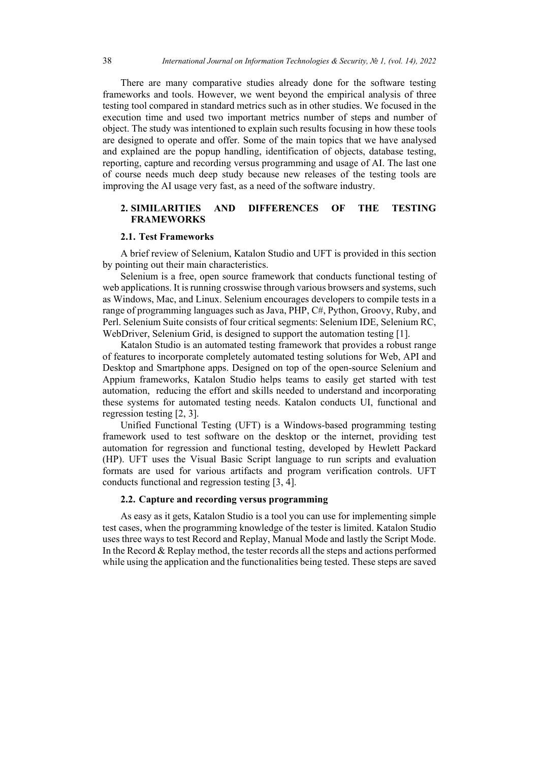There are many comparative studies already done for the software testing frameworks and tools. However, we went beyond the empirical analysis of three testing tool compared in standard metrics such as in other studies. We focused in the execution time and used two important metrics number of steps and number of object. The study was intentioned to explain such results focusing in how these tools are designed to operate and offer. Some of the main topics that we have analysed and explained are the popup handling, identification of objects, database testing, reporting, capture and recording versus programming and usage of AI. The last one of course needs much deep study because new releases of the testing tools are improving the AI usage very fast, as a need of the software industry.

## **2. SIMILARITIES AND DIFFERENCES OF THE TESTING FRAMEWORKS**

#### **2.1. Test Frameworks**

A brief review of Selenium, Katalon Studio and UFT is provided in this section by pointing out their main characteristics.

Selenium is a free, open source framework that conducts functional testing of web applications. It is running crosswise through various browsers and systems, such as Windows, Mac, and Linux. Selenium encourages developers to compile tests in a range of programming languages such as Java, PHP, C#, Python, Groovy, Ruby, and Perl. Selenium Suite consists of four critical segments: Selenium IDE, Selenium RC, WebDriver, Selenium Grid, is designed to support the automation testing [1].

Katalon Studio is an automated testing framework that provides a robust range of features to incorporate completely automated testing solutions for Web, API and Desktop and Smartphone apps. Designed on top of the open-source Selenium and Appium frameworks, Katalon Studio helps teams to easily get started with test automation, reducing the effort and skills needed to understand and incorporating these systems for automated testing needs. Katalon conducts UI, functional and regression testing [2, 3].

Unified Functional Testing (UFT) is a Windows-based programming testing framework used to test software on the desktop or the internet, providing test automation for regression and functional testing, developed by Hewlett Packard (HP). UFT uses the Visual Basic Script language to run scripts and evaluation formats are used for various artifacts and program verification controls. UFT conducts functional and regression testing [3, 4].

## **2.2. Capture and recording versus programming**

As easy as it gets, Katalon Studio is a tool you can use for implementing simple test cases, when the programming knowledge of the tester is limited. Katalon Studio uses three ways to test Record and Replay, Manual Mode and lastly the Script Mode. In the Record & Replay method, the tester records all the steps and actions performed while using the application and the functionalities being tested. These steps are saved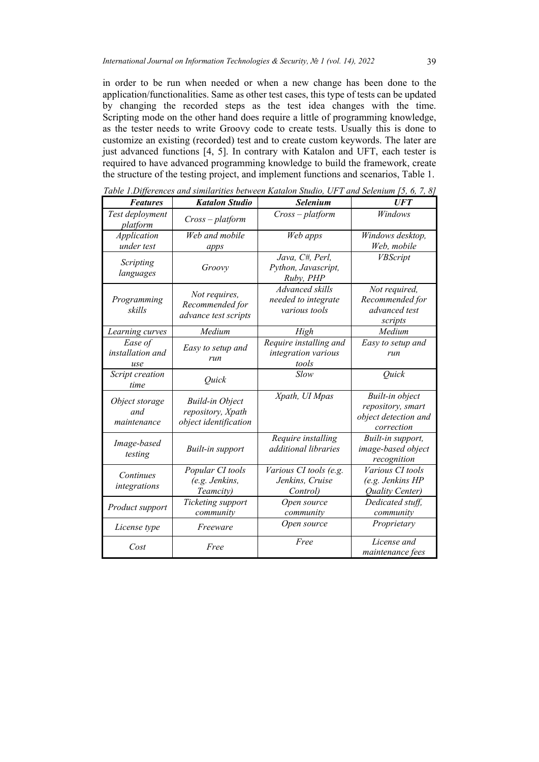in order to be run when needed or when a new change has been done to the application/functionalities. Same as other test cases, this type of tests can be updated by changing the recorded steps as the test idea changes with the time. Scripting mode on the other hand does require a little of programming knowledge, as the tester needs to write Groovy code to create tests. Usually this is done to customize an existing (recorded) test and to create custom keywords. The later are just advanced functions [4, 5]. In contrary with Katalon and UFT, each tester is required to have advanced programming knowledge to build the framework, create the structure of the testing project, and implement functions and scenarios, Table 1.

| Table 1.Differences and similarities between Katalon Studio, UFT and Selenium [5, 6, 7, 8] |  |  |  |
|--------------------------------------------------------------------------------------------|--|--|--|
|--------------------------------------------------------------------------------------------|--|--|--|

| <b>Features</b>                      | <b>Katalon Studio</b>                                                | Selenium                                                | <b>UFT</b>                                                                 |
|--------------------------------------|----------------------------------------------------------------------|---------------------------------------------------------|----------------------------------------------------------------------------|
| Test deployment<br>platform          | $Cross-platform$                                                     | $Cross-platform$                                        | Windows                                                                    |
| Application<br>under test            | Web and mobile<br>apps                                               | Web apps                                                | Windows desktop,<br>Web, mobile                                            |
| Scripting<br>languages               | Groovy                                                               | Java, C#, Perl,<br>Python, Javascript,<br>Ruby, PHP     | <b>VBScript</b>                                                            |
| Programming<br>skills                | Not requires,<br>Recommended for<br>advance test scripts             | Advanced skills<br>needed to integrate<br>various tools | Not required,<br>Recommended for<br>advanced test<br>scripts               |
| Learning curves                      | Medium                                                               | High                                                    | Medium                                                                     |
| Ease of<br>installation and<br>use   | Easy to setup and<br>run                                             | Require installing and<br>integration various<br>tools  | Easy to setup and<br>run                                                   |
| Script creation<br>time              | Quick                                                                | Slow                                                    | Ouick                                                                      |
| Object storage<br>and<br>maintenance | <b>Build-in Object</b><br>repository, Xpath<br>object identification | Xpath, UI Mpas                                          | Built-in object<br>repository, smart<br>object detection and<br>correction |
| Image-based<br>testing               | Built-in support                                                     | Require installing<br>additional libraries              | Built-in support,<br>image-based object<br>recognition                     |
| Continues<br>integrations            | Popular CI tools<br>(e.g. Jenkins,<br>Teamcity)                      | Various CI tools (e.g.<br>Jenkins, Cruise<br>Control)   | Various CI tools<br>(e.g. Jenkins HP<br>Quality Center)                    |
| Product support                      | Ticketing support<br>Open source<br>community<br>community           |                                                         | Dedicated stuff,<br>community                                              |
| License type                         | Freeware                                                             | Open source                                             | Proprietary                                                                |
| Cost<br>Free                         |                                                                      | Free                                                    | License and<br><i>maintenance fees</i>                                     |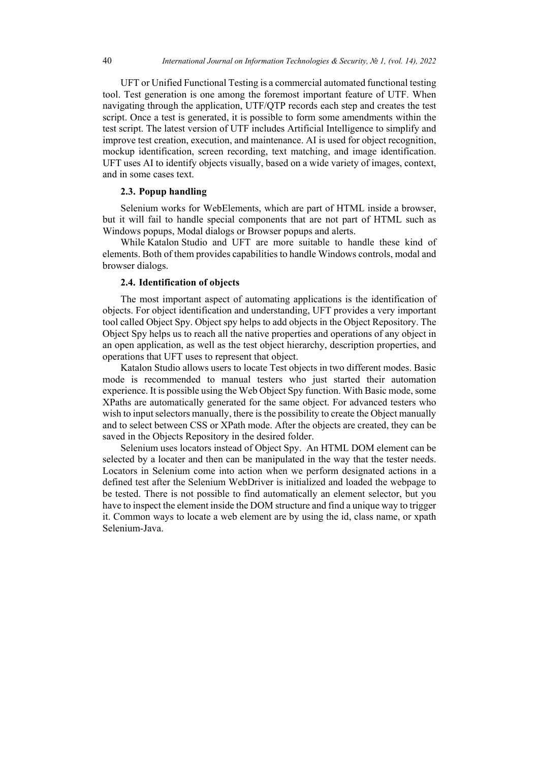UFT or Unified Functional Testing is a commercial automated functional testing tool. Test generation is one among the foremost important feature of UTF. When navigating through the application, UTF/QTP records each step and creates the test script. Once a test is generated, it is possible to form some amendments within the test script. The latest version of UTF includes Artificial Intelligence to simplify and improve test creation, execution, and maintenance. AI is used for object recognition, mockup identification, screen recording, text matching, and image identification. UFT uses AI to identify objects visually, based on a wide variety of images, context, and in some cases text.

#### **2.3. Popup handling**

Selenium works for WebElements, which are part of HTML inside a browser, but it will fail to handle special components that are not part of HTML such as Windows popups, Modal dialogs or Browser popups and alerts.

While Katalon Studio and UFT are more suitable to handle these kind of elements. Both of them provides capabilities to handle Windows controls, modal and browser dialogs.

## **2.4. Identification of objects**

The most important aspect of automating applications is the identification of objects. For object identification and understanding, UFT provides a very important tool called Object Spy. Object spy helps to add objects in the Object Repository. The Object Spy helps us to reach all the native properties and operations of any object in an open application, as well as the test object hierarchy, description properties, and operations that UFT uses to represent that object.

Katalon Studio allows users to locate Test objects in two different modes. Basic mode is recommended to manual testers who just started their automation experience. It is possible using the Web Object Spy function. With Basic mode, some XPaths are automatically generated for the same object. For advanced testers who wish to input selectors manually, there is the possibility to create the Object manually and to select between CSS or XPath mode. After the objects are created, they can be saved in the Objects Repository in the desired folder.

Selenium uses locators instead of Object Spy. An HTML DOM element can be selected by a locater and then can be manipulated in the way that the tester needs. Locators in Selenium come into action when we perform designated actions in a defined test after the Selenium WebDriver is initialized and loaded the webpage to be tested. There is not possible to find automatically an element selector, but you have to inspect the element inside the DOM structure and find a unique way to trigger it. Common ways to locate a web element are by using the id, class name, or xpath Selenium-Java.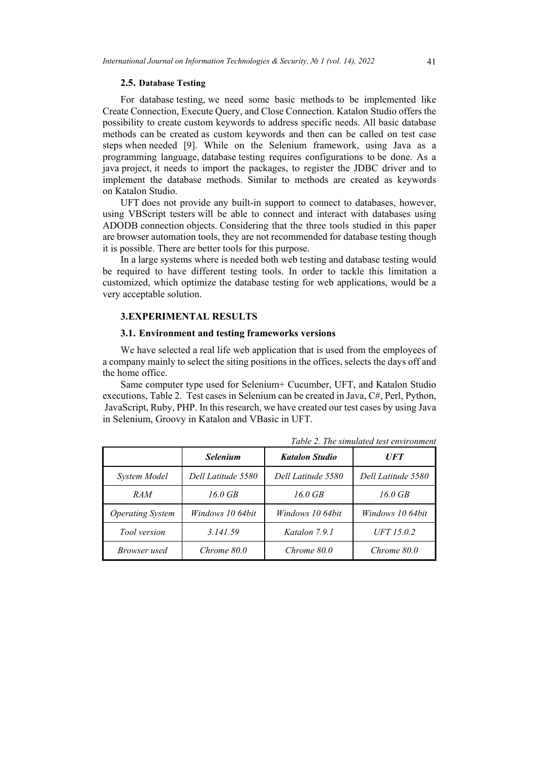#### **2.5. Database Testing**

For database testing, we need some basic methods to be implemented like Create Connection, Execute Query, and Close Connection. Katalon Studio offers the possibility to create custom keywords to address specific needs. All basic database methods can be created as custom keywords and then can be called on test case steps when needed [9]. While on the Selenium framework, using Java as a programming language, database testing requires configurations to be done. As a java project, it needs to import the packages, to register the JDBC driver and to implement the database methods. Similar to methods are created as keywords on Katalon Studio.

UFT does not provide any built-in support to connect to databases, however, using VBScript testers will be able to connect and interact with databases using ADODB connection objects. Considering that the three tools studied in this paper are browser automation tools, they are not recommended for database testing though it is possible. There are better tools for this purpose.

In a large systems where is needed both web testing and database testing would be required to have different testing tools. In order to tackle this limitation a customized, which optimize the database testing for web applications, would be a very acceptable solution.

#### **3.EXPERIMENTAL RESULTS**

## **3.1. Environment and testing frameworks versions**

We have selected a real life web application that is used from the employees of a company mainly to select the siting positions in the offices, selects the days off and the home office.

Same computer type used for Selenium+ Cucumber, UFT, and Katalon Studio executions, Table 2. Test cases in Selenium can be created in Java, C#, Perl, Python,  JavaScript, Ruby, PHP. In this research, we have created our test cases by using Java in Selenium, Groovy in Katalon and VBasic in UFT.

|                                | <b>Selenium</b>                          | <b>Katalon Studio</b> | <i><b>UFT</b></i>  |  |
|--------------------------------|------------------------------------------|-----------------------|--------------------|--|
| System Model                   | Dell Latitude 5580<br>Dell Latitude 5580 |                       | Dell Latitude 5580 |  |
| <i>RAM</i>                     | $16.0$ GB                                | $16.0$ GB             | $16.0$ GB          |  |
| <i><b>Operating System</b></i> | Windows 10 64bit                         | Windows 10 64bit      | Windows 10 64bit   |  |
| Tool version                   | 3.141.59                                 | Katalon 7.9.1         | UFT 15.0.2         |  |
| Browser used                   | Chrome 80.0                              | Chrome 80.0           | Chrome 80.0        |  |

*Table 2. The simulated test environment*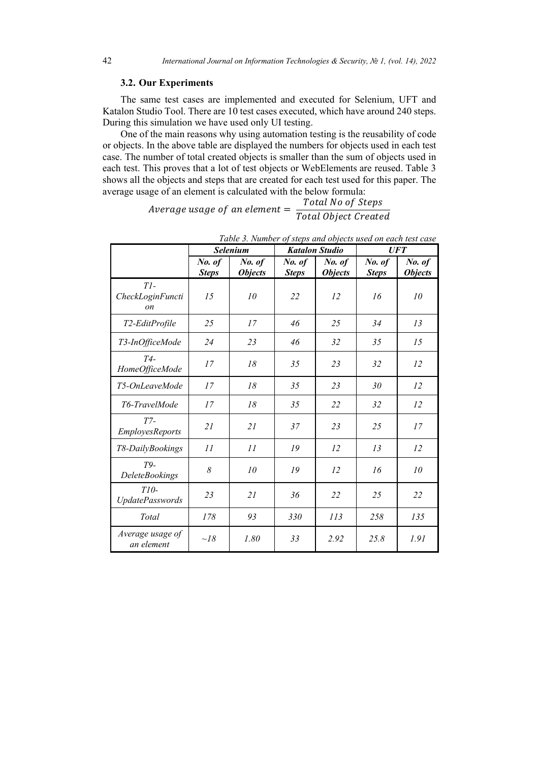#### **3.2. Our Experiments**

The same test cases are implemented and executed for Selenium, UFT and Katalon Studio Tool. There are 10 test cases executed, which have around 240 steps. During this simulation we have used only UI testing.

One of the main reasons why using automation testing is the reusability of code or objects. In the above table are displayed the numbers for objects used in each test case. The number of total created objects is smaller than the sum of objects used in each test. This proves that a lot of test objects or WebElements are reused. Table 3 shows all the objects and steps that are created for each test used for this paper. The average usage of an element is calculated with the below formula:<br>Total No of Steps

Average usage of an element =  $\frac{Total\ No\ of\ Steps}{Total\ Object\ Create}$ 

|                                     | <b>Selenium</b>        |                          | <b>Katalon Studio</b>  |                          | <b>UFT</b>             |                          |
|-------------------------------------|------------------------|--------------------------|------------------------|--------------------------|------------------------|--------------------------|
|                                     | No. of<br><b>Steps</b> | No. of<br><b>Objects</b> | No. of<br><b>Steps</b> | No. of<br><b>Objects</b> | No. of<br><b>Steps</b> | No. of<br><b>Objects</b> |
| Tl<br>CheckLoginFuncti<br><i>on</i> | 15                     | 10                       | 22                     | 12                       | 16                     | 10                       |
| T2-EditProfile                      | 25                     | 17                       | 46                     | 25                       | 34                     | 13                       |
| T3-InOfficeMode                     | 24                     | 23                       | 46                     | 32                       | 35                     | 15                       |
| $T4-$<br>HomeOfficeMode             | 17                     | 18                       | 35                     | 23                       | 32                     | 12                       |
| T5-OnLeaveMode                      | 17                     | 18                       | 35                     | 23                       | 30                     | 12                       |
| T6-TravelMode                       | 17                     | 18                       | 35                     | 22                       | 32                     | 12                       |
| $T7-$<br><b>EmployesReports</b>     | 21                     | 21                       | 37                     | 23                       | 25                     | 17                       |
| T8-DailyBookings                    | 11                     | 11                       | 19                     | 12                       | 13                     | 12                       |
| T9-<br><b>DeleteBookings</b>        | 8                      | 10                       | 19                     | 12                       | 16                     | 10                       |
| $T10-$<br><b>UpdatePasswords</b>    | 23                     | 21                       | 36                     | 22                       | 25                     | 22                       |
| Total                               | 178                    | 93                       | 330                    | 113                      | 258                    | 135                      |
| Average usage of<br>an element      | $\sim l\delta$         | 1.80                     | 33                     | 2.92                     | 25.8                   | 1.91                     |

| Table 3. Number of steps and objects used on each test case |  |
|-------------------------------------------------------------|--|
|-------------------------------------------------------------|--|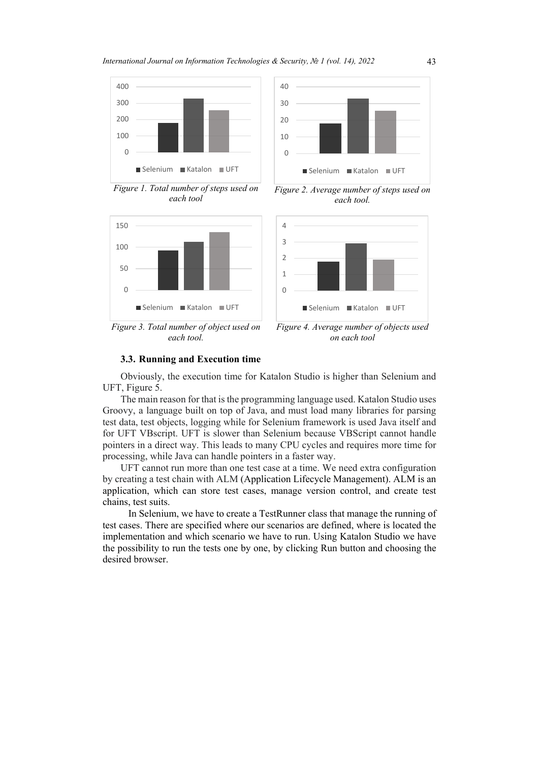40



 $\Omega$ 10 20 30 Selenium Katalon UFT

*Figure 1. Total number of steps used on each tool*



*Figure 2. Average number of steps used on each tool.*



*Figure 3. Total number of object used on each tool.*

*Figure 4. Average number of objects used on each tool*

#### **3.3. Running and Execution time**

Obviously, the execution time for Katalon Studio is higher than Selenium and UFT, Figure 5.

The main reason for that is the programming language used. Katalon Studio uses Groovy, a language built on top of Java, and must load many libraries for parsing test data, test objects, logging while for Selenium framework is used Java itself and for UFT VBscript. UFT is slower than Selenium because VBScript cannot handle pointers in a direct way. This leads to many CPU cycles and requires more time for processing, while Java can handle pointers in a faster way.

UFT cannot run more than one test case at a time. We need extra configuration by creating a test chain with ALM (Application Lifecycle Management). ALM is an application, which can store test cases, manage version control, and create test chains, test suits.

In Selenium, we have to create a TestRunner class that manage the running of test cases. There are specified where our scenarios are defined, where is located the implementation and which scenario we have to run. Using Katalon Studio we have the possibility to run the tests one by one, by clicking Run button and choosing the desired browser.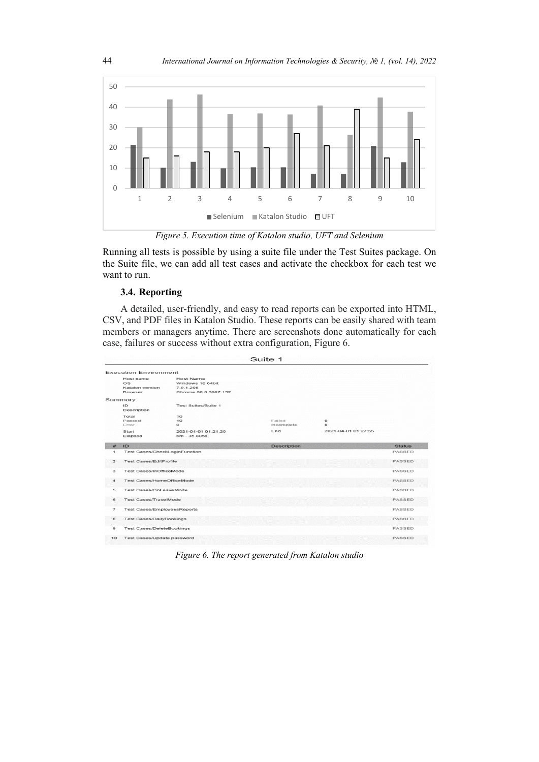

*Figure 5. Execution time of Katalon studio, UFT and Selenium*

Running all tests is possible by using a suite file under the Test Suites package. On the Suite file, we can add all test cases and activate the checkbox for each test we want to run.

# **3.4. Reporting**

A detailed, user-friendly, and easy to read reports can be exported into HTML, CSV, and PDF files in Katalon Studio. These reports can be easily shared with team members or managers anytime. There are screenshots done automatically for each case, failures or success without extra configuration, Figure 6.

|                          | Suite 1                                              |                                                                    |                             |                     |               |  |
|--------------------------|------------------------------------------------------|--------------------------------------------------------------------|-----------------------------|---------------------|---------------|--|
|                          | <b>Execution Environment</b>                         |                                                                    |                             |                     |               |  |
|                          | Host name<br>OS<br>Katalon version<br><b>Browser</b> | Host Name<br>Windows 10 64bit<br>7.9.1.208<br>Chrome 80.0.3987.132 |                             |                     |               |  |
|                          | Summary                                              |                                                                    |                             |                     |               |  |
|                          | ID<br>Description                                    | Test Suites/Suite 1                                                |                             |                     |               |  |
|                          | Total<br>Passed<br>Error                             | 10<br>10<br>$\circ$                                                | <b>Failed</b><br>Incomplete | $\circ$<br>$\circ$  |               |  |
|                          | Start<br>Elapsed                                     | 2021-04-01 01:21:20<br>6m - 35.805s                                | End                         | 2021-04-01 01:27:55 |               |  |
| #                        | ID                                                   |                                                                    | <b>Description</b>          |                     | <b>Status</b> |  |
| $\mathbf{I}$             | <b>Test Cases/CheckLoginFunction</b>                 |                                                                    |                             |                     | PASSED        |  |
| $\geq$                   | <b>Test Cases/EditProfile</b>                        |                                                                    |                             |                     | <b>PASSED</b> |  |
| з                        | <b>Test Cases/InOfficeMode</b>                       |                                                                    |                             |                     | PASSED        |  |
| $\boldsymbol{A}$         | Test Cases/HomeOfficeMode                            |                                                                    |                             |                     | PASSED        |  |
| 5                        | Test Cases/Onl eaveMode                              |                                                                    |                             |                     | PASSED        |  |
| 6                        | Test Cases/TravelMode                                |                                                                    |                             |                     | PASSED        |  |
| $\overline{\phantom{a}}$ | <b>Test Cases/EmployeesReports</b>                   |                                                                    |                             |                     | PASSED        |  |
| 8                        | <b>Test Cases/DailyBookings</b>                      |                                                                    |                             |                     | PASSED        |  |
| я                        | <b>Test Cases/DeleteBookings</b><br>PASSED           |                                                                    |                             |                     |               |  |
| 10                       | Test Cases/Update password                           |                                                                    |                             |                     | PASSED        |  |

*Figure 6. The report generated from Katalon studio*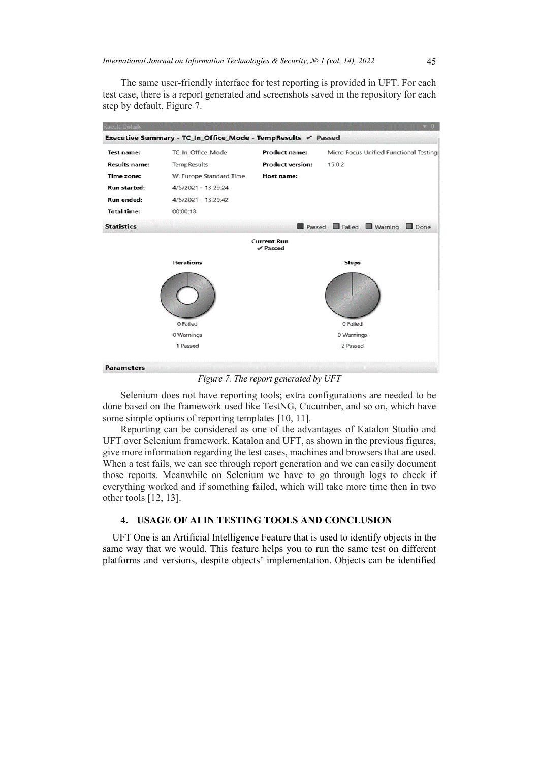The same user-friendly interface for test reporting is provided in UFT. For each test case, there is a report generated and screenshots saved in the repository for each step by default, Figure 7.

| <b>Result Details</b>                                        |                         |                                |                                        |  |
|--------------------------------------------------------------|-------------------------|--------------------------------|----------------------------------------|--|
| Executive Summary - TC_In_Office_Mode - TempResults √ Passed |                         |                                |                                        |  |
| <b>Test name:</b>                                            | TC_In_Office_Mode       | <b>Product name:</b>           | Micro Focus Unified Functional Testing |  |
| <b>Results name:</b>                                         | TempResults             | <b>Product version:</b>        | 15.0.2                                 |  |
| Time zone:                                                   | W. Europe Standard Time | Host name:                     |                                        |  |
| Run started:                                                 | 4/5/2021 - 13:29:24     |                                |                                        |  |
| Run ended:                                                   | 4/5/2021 - 13:29:42     |                                |                                        |  |
| <b>Total time:</b>                                           | 00:00:18                |                                |                                        |  |
| <b>Statistics</b>                                            |                         |                                | Passed Failed Warning<br>Done          |  |
|                                                              |                         | <b>Current Run</b><br>✔ Passed |                                        |  |
|                                                              | <b>Iterations</b>       |                                | Steps                                  |  |
|                                                              |                         |                                |                                        |  |
|                                                              | 0 Failed                |                                | 0 Failed                               |  |
|                                                              | 0 Warnings              |                                | 0 Warnings                             |  |
|                                                              | 1 Passed                |                                | 2 Passed                               |  |
| <b>Parameters</b>                                            |                         |                                |                                        |  |

*Figure 7. The report generated by UFT*

Selenium does not have reporting tools; extra configurations are needed to be done based on the framework used like TestNG, Cucumber, and so on, which have some simple options of reporting templates [10, 11].

Reporting can be considered as one of the advantages of Katalon Studio and UFT over Selenium framework. Katalon and UFT, as shown in the previous figures, give more information regarding the test cases, machines and browsers that are used. When a test fails, we can see through report generation and we can easily document those reports. Meanwhile on Selenium we have to go through logs to check if everything worked and if something failed, which will take more time then in two other tools [12, 13].

# **4. USAGE OF AI IN TESTING TOOLS AND CONCLUSION**

UFT One is an Artificial Intelligence Feature that is used to identify objects in the same way that we would. This feature helps you to run the same test on different platforms and versions, despite objects' implementation. Objects can be identified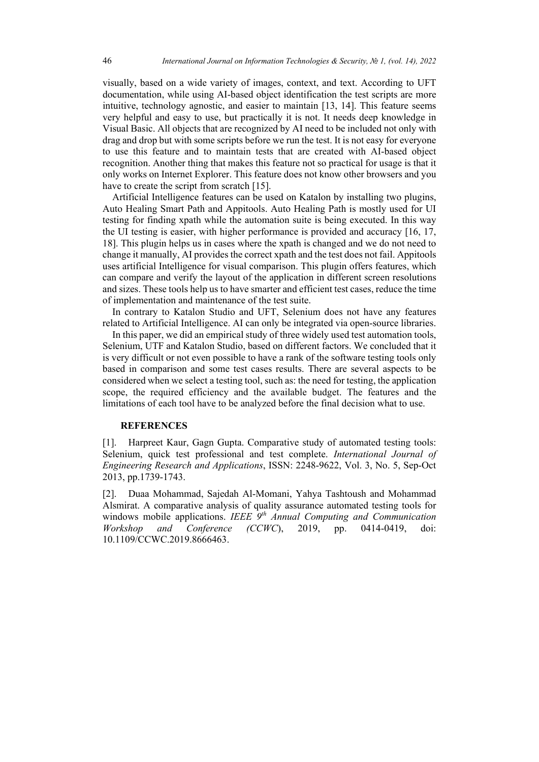visually, based on a wide variety of images, context, and text. According to UFT documentation, while using AI-based object identification the test scripts are more intuitive, technology agnostic, and easier to maintain [13, 14]. This feature seems very helpful and easy to use, but practically it is not. It needs deep knowledge in Visual Basic. All objects that are recognized by AI need to be included not only with drag and drop but with some scripts before we run the test. It is not easy for everyone to use this feature and to maintain tests that are created with AI-based object recognition. Another thing that makes this feature not so practical for usage is that it only works on Internet Explorer. This feature does not know other browsers and you have to create the script from scratch [15].

Artificial Intelligence features can be used on Katalon by installing two plugins, Auto Healing Smart Path and Appitools. Auto Healing Path is mostly used for UI testing for finding xpath while the automation suite is being executed. In this way the UI testing is easier, with higher performance is provided and accuracy [16, 17, 18]. This plugin helps us in cases where the xpath is changed and we do not need to change it manually, AI provides the correct xpath and the test does not fail. Appitools uses artificial Intelligence for visual comparison. This plugin offers features, which can compare and verify the layout of the application in different screen resolutions and sizes. These tools help us to have smarter and efficient test cases, reduce the time of implementation and maintenance of the test suite.

In contrary to Katalon Studio and UFT, Selenium does not have any features related to Artificial Intelligence. AI can only be integrated via open-source libraries.

In this paper, we did an empirical study of three widely used test automation tools, Selenium, UTF and Katalon Studio, based on different factors. We concluded that it is very difficult or not even possible to have a rank of the software testing tools only based in comparison and some test cases results. There are several aspects to be considered when we select a testing tool, such as: the need for testing, the application scope, the required efficiency and the available budget. The features and the limitations of each tool have to be analyzed before the final decision what to use.

#### **REFERENCES**

[1]. Harpreet Kaur, Gagn Gupta. Comparative study of automated testing tools: Selenium, quick test professional and test complete. *International Journal of Engineering Research and Applications*, ISSN: 2248-9622, Vol. 3, No. 5, Sep-Oct 2013, pp.1739-1743.

[2]. Duaa Mohammad, Sajedah Al-Momani, Yahya Tashtoush and Mohammad Alsmirat. A comparative analysis of quality assurance automated testing tools for windows mobile applications. *IEEE 9th Annual Computing and Communication Workshop and Conference (CCWC*), 2019, pp. 0414-0419, doi: 10.1109/CCWC.2019.8666463.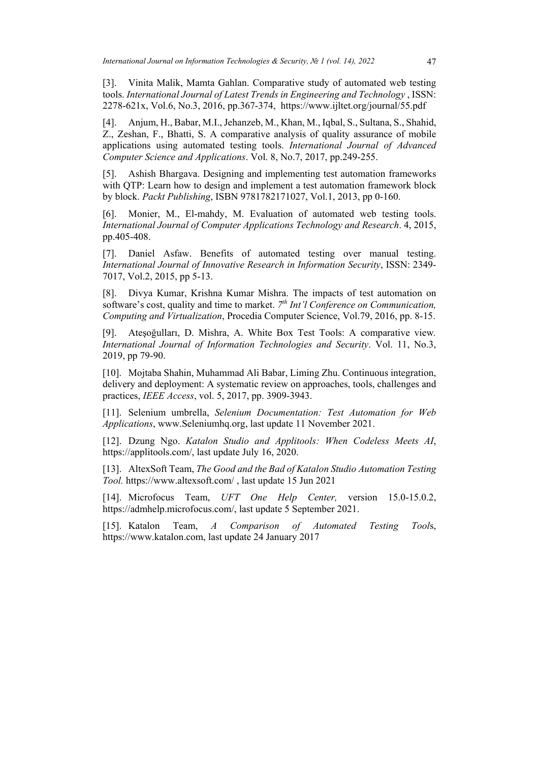[3]. Vinita Malik, Mamta Gahlan. Comparative study of automated web testing tools. *International Journal of Latest Trends in Engineering and Technology* , ISSN: 2278-621x, Vol.6, No.3, 2016, pp.367-374, https://www.ijltet.org/journal/55.pdf

[4]. Anjum, H., Babar, M.I.,Jehanzeb, M., Khan, M., Iqbal, S., Sultana, S., Shahid, Z., Zeshan, F., Bhatti, S. A comparative analysis of quality assurance of mobile applications using automated testing tools. *International Journal of Advanced Computer Science and Applications*. Vol. 8, No.7, 2017, pp.249-255.

[5]. Ashish Bhargava. Designing and implementing test automation frameworks with QTP: Learn how to design and implement a test automation framework block by block. *Packt Publishing*, ISBN 9781782171027, Vol.1, 2013, pp 0-160.

[6]. Monier, M., El-mahdy, M. Evaluation of automated web testing tools. *International Journal of Computer Applications Technology and Research*. 4, 2015, pp.405-408.

[7]. Daniel Asfaw. Benefits of automated testing over manual testing. *International Journal of Innovative Research in Information Security*, ISSN: 2349- 7017, Vol.2, 2015, pp 5-13.

[8]. Divya Kumar, Krishna Kumar Mishra. The impacts of test automation on software's cost, quality and time to market. *7th Int'l Conference on Communication, Computing and Virtualization*, Procedia Computer Science, Vol.79, 2016, pp. 8-15.

[9]. Ateşoğulları, D. Mishra, A. White Box Test Tools: A comparative view*. International Journal of Information Technologies and Security*. Vol. 11, No.3, 2019, pp 79-90.

[10]. Mojtaba Shahin, Muhammad Ali Babar, Liming Zhu. Continuous integration, delivery and deployment: A systematic review on approaches, tools, challenges and practices, *IEEE Access*, vol. 5, 2017, pp. 3909-3943.

[11]. Selenium umbrella, *Selenium Documentation: Test Automation for Web Applications*, www.Seleniumhq.org, last update 11 November 2021.

[12]. Dzung Ngo. *Katalon Studio and Applitools: When Codeless Meets AI*, https://applitools.com/, last update July 16, 2020.

[13]. AltexSoft Team, *The Good and the Bad of Katalon Studio Automation Testing Tool.* https://www.altexsoft.com/ , last update 15 Jun 2021

[14]. Microfocus Team, *UFT One Help Center,* version 15.0-15.0.2, https://admhelp.microfocus.com/, last update 5 September 2021.

[15]. Katalon Team, *A Comparison of Automated Testing Tool*s, https://www.katalon.com, last update 24 January 2017